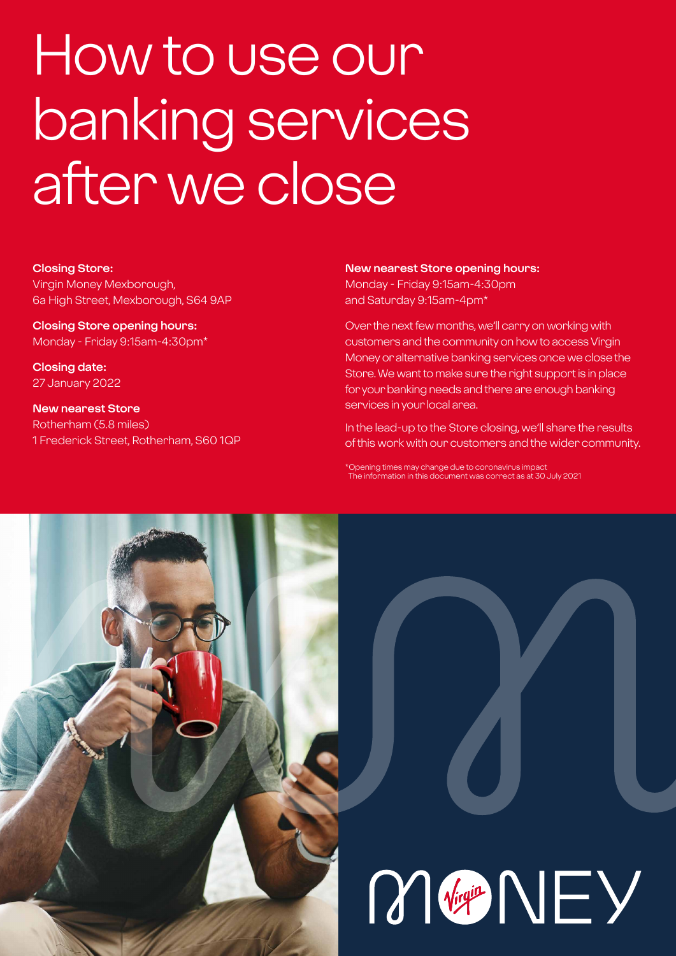## How to use our banking services after we close

#### **Closing Store:**

Virgin Money Mexborough, 6a High Street, Mexborough, S64 9AP

**Closing Store opening hours:**  Monday - Friday 9:15am-4:30pm\*

**Closing date:**  27 January 2022

**New nearest Store** Rotherham (5.8 miles) 1 Frederick Street, Rotherham, S60 1QP

#### **New nearest Store opening hours:**

Monday - Friday 9:15am-4:30pm and Saturday 9:15am-4pm\*

Over the next few months, we'll carry on working with customers and the community on how to access Virgin Money or alternative banking services once we close the Store. We want to make sure the right support is in place for your banking needs and there are enough banking services in your local area.

In the lead-up to the Store closing, we'll share the results of this work with our customers and the wider community.

\*Opening times may change due to coronavirus impact The information in this document was correct as at 30 July 2021



# M Vigit NEY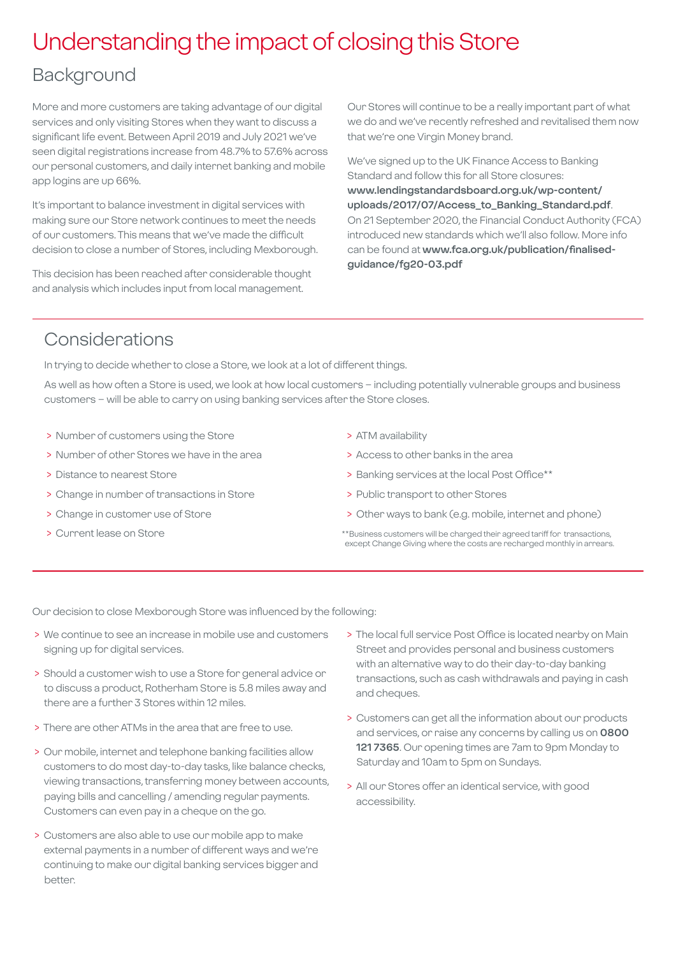## Understanding the impact of closing this Store

### Background

More and more customers are taking advantage of our digital services and only visiting Stores when they want to discuss a significant life event. Between April 2019 and July 2021 we've seen digital registrations increase from 48.7% to 57.6% across our personal customers, and daily internet banking and mobile app logins are up 66%.

It's important to balance investment in digital services with making sure our Store network continues to meet the needs of our customers. This means that we've made the difficult decision to close a number of Stores, including Mexborough.

This decision has been reached after considerable thought and analysis which includes input from local management.

Our Stores will continue to be a really important part of what we do and we've recently refreshed and revitalised them now that we're one Virgin Money brand.

We've signed up to the UK Finance Access to Banking Standard and follow this for all Store closures: **[www.lendingstandardsboard.org.uk/wp-content/](http://www.lendingstandardsboard.org.uk/wp-content/uploads/2017/07/Access_to_Banking_Standard.pdf) [uploads/2017/07/Access\\_to\\_Banking\\_Standard.pdf](http://www.lendingstandardsboard.org.uk/wp-content/uploads/2017/07/Access_to_Banking_Standard.pdf)**. On 21 September 2020, the Financial Conduct Authority (FCA) introduced new standards which we'll also follow. More info can be found at **[www.fca.org.uk/publication/finalised](http://www.fca.org.uk/publication/finalised-guidance/fg20-03.pdf)[guidance/fg20-03.pdf](http://www.fca.org.uk/publication/finalised-guidance/fg20-03.pdf)**

## Considerations

In trying to decide whether to close a Store, we look at a lot of different things.

As well as how often a Store is used, we look at how local customers – including potentially vulnerable groups and business customers – will be able to carry on using banking services after the Store closes.

- > Number of customers using the Store
- > Number of other Stores we have in the area
- > Distance to nearest Store
- > Change in number of transactions in Store
- > Change in customer use of Store
- > Current lease on Store
- > ATM availability
- > Access to other banks in the area
- > Banking services at the local Post Office\*\*
- > Public transport to other Stores
- > Other ways to bank (e.g. mobile, internet and phone)
- \*\*Business customers will be charged their agreed tariff for transactions, except Change Giving where the costs are recharged monthly in arrears.

Our decision to close Mexborough Store was influenced by the following:

- > We continue to see an increase in mobile use and customers signing up for digital services.
- > Should a customer wish to use a Store for general advice or to discuss a product, Rotherham Store is 5.8 miles away and there are a further 3 Stores within 12 miles.
- > There are other ATMs in the area that are free to use.
- > Our mobile, internet and telephone banking facilities allow customers to do most day-to-day tasks, like balance checks, viewing transactions, transferring money between accounts, paying bills and cancelling / amending regular payments. Customers can even pay in a cheque on the go.
- > Customers are also able to use our mobile app to make external payments in a number of different ways and we're continuing to make our digital banking services bigger and better.
- > The local full service Post Office is located nearby on Main Street and provides personal and business customers with an alternative way to do their day-to-day banking transactions, such as cash withdrawals and paying in cash and cheques.
- > Customers can get all the information about our products and services, or raise any concerns by calling us on **0800 121 7365**. Our opening times are 7am to 9pm Monday to Saturday and 10am to 5pm on Sundays.
- > All our Stores offer an identical service, with good accessibility.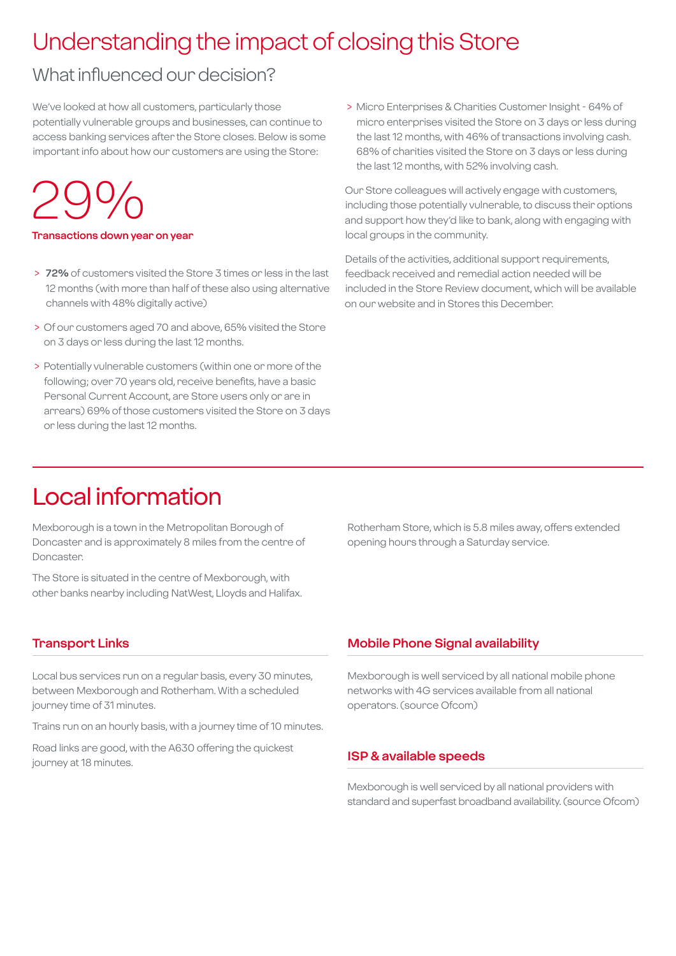## Understanding the impact of closing this Store

## What influenced our decision?

We've looked at how all customers, particularly those potentially vulnerable groups and businesses, can continue to access banking services after the Store closes. Below is some important info about how our customers are using the Store:

## 29%

#### **Transactions down year on year**

- > **72%** of customers visited the Store 3 times or less in the last 12 months (with more than half of these also using alternative channels with 48% digitally active)
- > Of our customers aged 70 and above, 65% visited the Store on 3 days or less during the last 12 months.
- > Potentially vulnerable customers (within one or more of the following; over 70 years old, receive benefits, have a basic Personal Current Account, are Store users only or are in arrears) 69% of those customers visited the Store on 3 days or less during the last 12 months.

 > Micro Enterprises & Charities Customer Insight - 64% of micro enterprises visited the Store on 3 days or less during the last 12 months, with 46% of transactions involving cash. 68% of charities visited the Store on 3 days or less during the last 12 months, with 52% involving cash.

Our Store colleagues will actively engage with customers, including those potentially vulnerable, to discuss their options and support how they'd like to bank, along with engaging with local groups in the community.

Details of the activities, additional support requirements, feedback received and remedial action needed will be included in the Store Review document, which will be available on our website and in Stores this December.

## Local information

Mexborough is a town in the Metropolitan Borough of Doncaster and is approximately 8 miles from the centre of Doncaster.

The Store is situated in the centre of Mexborough, with other banks nearby including NatWest, Lloyds and Halifax.

Rotherham Store, which is 5.8 miles away, offers extended opening hours through a Saturday service.

#### **Transport Links**

Local bus services run on a regular basis, every 30 minutes, between Mexborough and Rotherham. With a scheduled journey time of 31 minutes.

Trains run on an hourly basis, with a journey time of 10 minutes.

Road links are good, with the A630 offering the quickest journey at 18 minutes.

#### **Mobile Phone Signal availability**

Mexborough is well serviced by all national mobile phone networks with 4G services available from all national operators. (source Ofcom)

#### **ISP & available speeds**

Mexborough is well serviced by all national providers with standard and superfast broadband availability. (source Ofcom)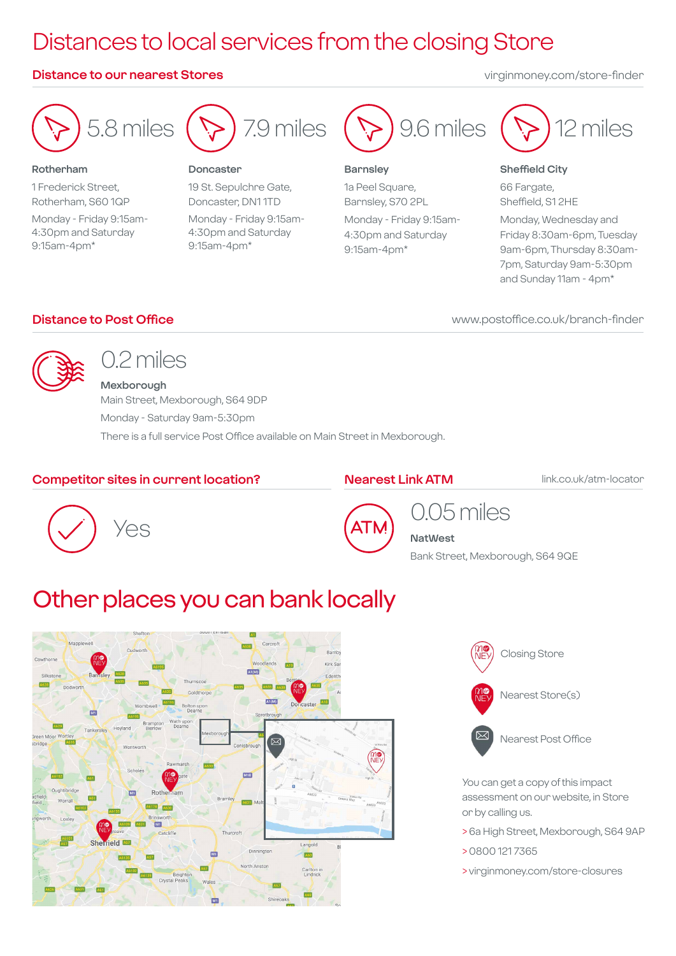## Distances to local services from the closing Store

#### **Distance to our nearest Stores** virginmoney.com/store-finder



#### **Rotherham**

1 Frederick Street, Rotherham, S60 1QP Monday - Friday 9:15am-4:30pm and Saturday 9:15am-4pm\*



#### **Doncaster**

19 St. Sepulchre Gate, Doncaster, DN1 1TD Monday - Friday 9:15am-4:30pm and Saturday 9:15am-4pm\*



#### **Barnsley**

1a Peel Square, Barnsley, S70 2PL Monday - Friday 9:15am-4:30pm and Saturday 9:15am-4pm\*



#### **Sheffield City**

66 Fargate, Sheffield, S1 2HE

Monday, Wednesday and Friday 8:30am-6pm, Tuesday 9am-6pm, Thursday 8:30am-7pm, Saturday 9am-5:30pm and Sunday 11am - 4pm\*

#### **Distance to Post Office**

www.postoffice.co.uk/branch-finder



## 0.2 miles

**Mexborough** Main Street, Mexborough, S64 9DP Monday - Saturday 9am-5:30pm There is a full service Post Office available on Main Street in Mexborough.

#### **Competitor sites in current location?**

#### **Nearest Link ATM**

link.co.uk/atm-locator





## 0.05 miles

**NatWest**

Bank Street, Mexborough, S64 9QE

## Other places you can bank locally





Nearest Post Office

You can get a copy of this impact assessment on our website, in Store or by calling us.

- > 6a High Street, Mexborough, S64 9AP
- > 0800 121 7365
- > virginmoney.com/store-closures